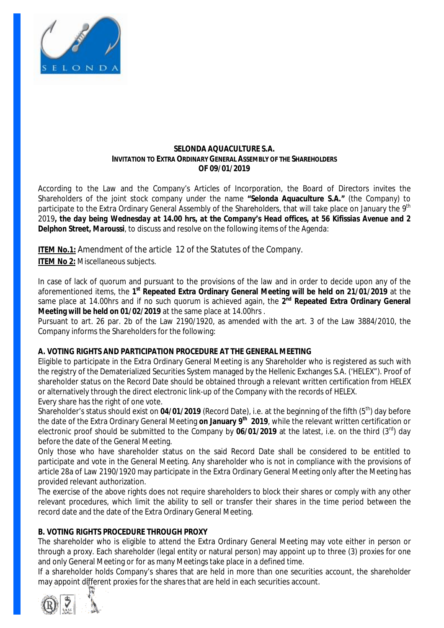

### **SELONDA AQUACULTURE S.A. INVITATION TO EXTRA ORDINARY GENERAL ASSEMBLY OF THE SHAREHOLDERS OF 09/01/2019**

According to the Law and the Company's Articles of Incorporation, the Board of Directors invites the Shareholders of the joint stock company under the name **"Selonda Aquaculture S.A."** (the Company) to participate to the Extra Ordinary General Assembly of the Shareholders, that will take place on January the 9th 2019, the day being Wednesday at 14.00 hrs, at the Company's Head offices, at 56 Kifissias Avenue and 2 *Delphon Street, Maroussi*, to discuss and resolve on the following items of the Agenda:

**ITEM No.1:** Amendment of the article 12 of the Statutes of the Company.

**ITEM No 2:** Miscellaneous subjects.

In case of lack of quorum and pursuant to the provisions of the law and in order to decide upon any of the aforementioned items, the **1 st Repeated Extra Ordinary General Meeting will be held on 21/01/2019** at the same place at 14.00hrs and if no such quorum is achieved again, the **2 nd Repeated Extra Ordinary General Meeting will be held on 01/02/2019** at the same place at 14.00hrs .

Pursuant to art. 26 par. 2b of the Law 2190/1920, as amended with the art. 3 of the Law 3884/2010, the Company informs the Shareholders for the following:

# **A. VOTING RIGHTS AND PARTICIPATION PROCEDURE AT THE GENERAL MEETING**

Eligible to participate in the Extra Ordinary General Meeting is any Shareholder who is registered as such with the registry of the Dematerialized Securities System managed by the Hellenic Exchanges S.A. ('HELEX"). Proof of shareholder status on the Record Date should be obtained through a relevant written certification from HELEX or alternatively through the direct electronic link-up of the Company with the records of HELEX. Every share has the right of one vote.

Shareholder's status should exist on 04/01/2019 (Record Date), i.e. at the beginning of the fifth (5<sup>th</sup>) day before the date of the Extra Ordinary General Meeting **on January 9th 2019**, while the relevant written certification or electronic proof should be submitted to the Company by 06/01/2019 at the latest, i.e. on the third (3<sup>rd</sup>) day before the date of the General Meeting.

Only those who have shareholder status on the said Record Date shall be considered to be entitled to participate and vote in the General Meeting. Any shareholder who is not in compliance with the provisions of article 28a of Law 2190/1920 may participate in the Extra Ordinary General Meeting only after the Meeting has provided relevant authorization.

The exercise of the above rights does not require shareholders to block their shares or comply with any other relevant procedures, which limit the ability to sell or transfer their shares in the time period between the record date and the date of the Extra Ordinary General Meeting.

# **B. VOTING RIGHTS PROCEDURE THROUGH PROXY**

The shareholder who is eligible to attend the Extra Ordinary General Meeting may vote either in person or through a proxy. Each shareholder (legal entity or natural person) may appoint up to three (3) proxies for one and only General Meeting or for as many Meetings take place in a defined time.

If a shareholder holds Company's shares that are held in more than one securities account, the shareholder may appoint different proxies for the shares that are held in each securities account.

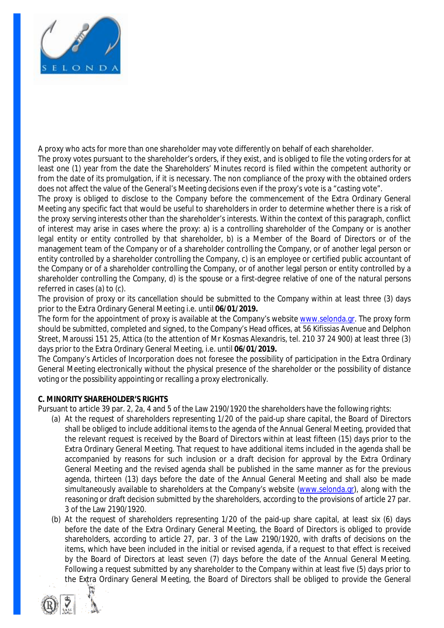

A proxy who acts for more than one shareholder may vote differently on behalf of each shareholder. The proxy votes pursuant to the shareholder's orders, if they exist, and is obliged to file the voting orders for at least one (1) year from the date the Shareholders' Minutes record is filed within the competent authority or from the date of its promulgation, if it is necessary. The non compliance of the proxy with the obtained orders does not affect the value of the General's Meeting decisions even if the proxy's vote is a "casting vote".

The proxy is obliged to disclose to the Company before the commencement of the Extra Ordinary General Meeting any specific fact that would be useful to shareholders in order to determine whether there is a risk of the proxy serving interests other than the shareholder's interests. Within the context of this paragraph, conflict of interest may arise in cases where the proxy: a) is a controlling shareholder of the Company or is another legal entity or entity controlled by that shareholder, b) is a Member of the Board of Directors or of the management team of the Company or of a shareholder controlling the Company, or of another legal person or entity controlled by a shareholder controlling the Company, c) is an employee or certified public accountant of the Company or of a shareholder controlling the Company, or of another legal person or entity controlled by a shareholder controlling the Company, d) is the spouse or a first-degree relative of one of the natural persons referred in cases (a) to (c).

The provision of proxy or its cancellation should be submitted to the Company within at least three (3) days prior to the Extra Ordinary General Meeting i.e. until **06/01/2019.**

The form for the appointment of proxy is available at the Company's website [www.selonda.gr](http://www.selonda.gr). The proxy form should be submitted, completed and signed, to the Company's Head offices, at 56 Kifissias Avenue and Delphon Street, Maroussi 151 25, Attica (to the attention of Mr Kosmas Alexandris, tel. 210 37 24 900) at least three (3) days prior to the Extra Ordinary General Meeting, i.e. until **06/01/2019.** 

The Company's Articles of Incorporation does not foresee the possibility of participation in the Extra Ordinary General Meeting electronically without the physical presence of the shareholder or the possibility of distance voting or the possibility appointing or recalling a proxy electronically.

## **C. MINORITY SHAREHOLDER'S RIGHTS**

Pursuant to article 39 par. 2, 2a, 4 and 5 of the Law 2190/1920 the shareholders have the following rights:

- (a) At the request of shareholders representing 1/20 of the paid-up share capital, the Board of Directors shall be obliged to include additional items to the agenda of the Annual General Meeting, provided that the relevant request is received by the Board of Directors within at least fifteen (15) days prior to the Extra Ordinary General Meeting. That request to have additional items included in the agenda shall be accompanied by reasons for such inclusion or a draft decision for approval by the Extra Ordinary General Meeting and the revised agenda shall be published in the same manner as for the previous agenda, thirteen (13) days before the date of the Annual General Meeting and shall also be made simultaneously available to shareholders at the Company's website [\(www.selonda.gr](http://www.selonda.gr)), along with the reasoning or draft decision submitted by the shareholders, according to the provisions of article 27 par. 3 of the Law 2190/1920.
- (b) At the request of shareholders representing 1/20 of the paid-up share capital, at least six (6) days before the date of the Extra Ordinary General Meeting, the Board of Directors is obliged to provide shareholders, according to article 27, par. 3 of the Law 2190/1920, with drafts of decisions on the items, which have been included in the initial or revised agenda, if a request to that effect is received by the Board of Directors at least seven (7) days before the date of the Annual General Meeting. Following a request submitted by any shareholder to the Company within at least five (5) days prior to the Extra Ordinary General Meeting, the Board of Directors shall be obliged to provide the General